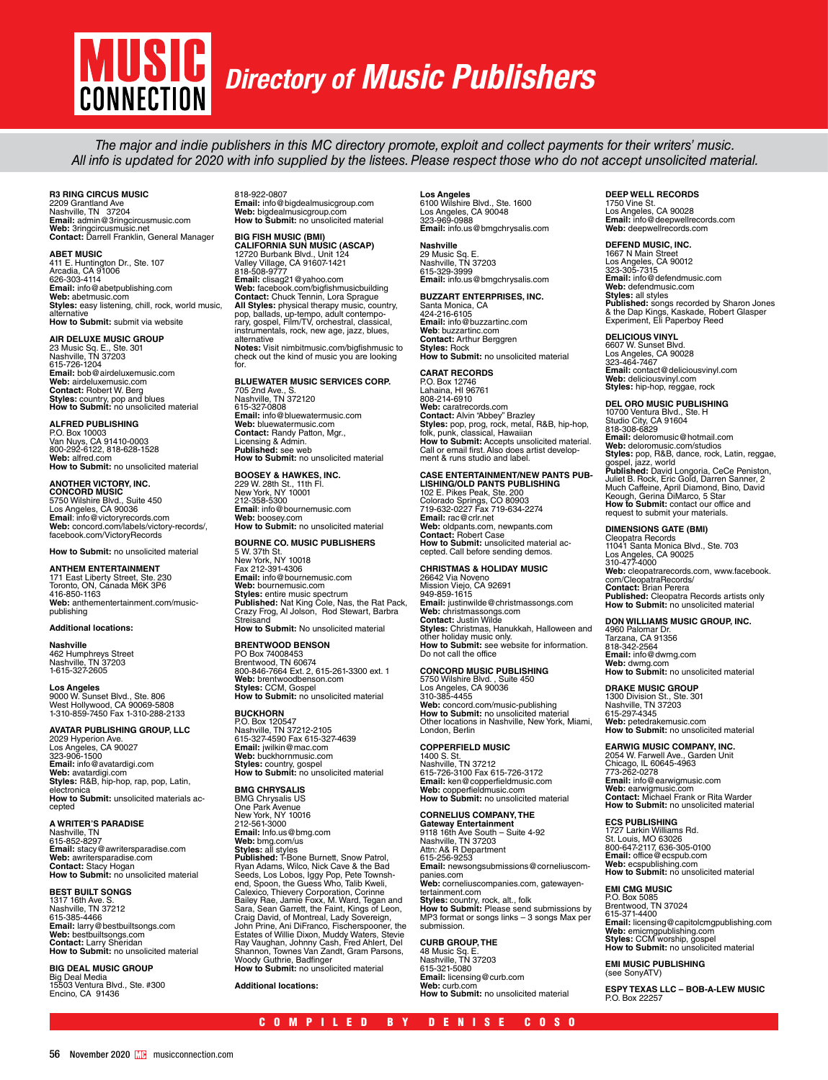# **USI CONNECTION**

# *Directory of Music Publishers*

The major and indie publishers in this MC directory promote, exploit and collect payments for their writers' music. All info is updated for 2020 with info supplied by the listees. Please respect those who do not accept unsolicited material.

### **R3 RING CIRCUS MUSIC**

2209 Grantland Ave<br>Nashville, TN 37204<br>**Email:** admin@3ringcircusmusic.com<br>**Web:** 3ringcircusmusic.net **Contact:** Darrell Franklin, General Manager

**ABET MUSIC**<br>411 E. Huntington Dr., Ste. 107<br>Arcadia, CA 91006<br>626-303-4114 **Email:** info@abetpublishing.com **Web:** abetmusic.com **Styles:** easy listening, chill, rock, world music, alternative **How to Submit:** submit via website

#### **AIR DELUXE MUSIC GROUP**

23 Music Sq. E., Ste. 301 Nashville, TN 37203 615-726-1204 **Email:** bob@airdeluxemusic.com **Web:** airdeluxemusic.com **Contact:** Robert W. Berg **Styles:** country, pop and blues **How to Submit:** no unsolicited material

#### **ALFRED PUBLISHING**

P.O. Box 10003 Van Nuys, CA 91410-0003 800-292-6122, 818-628-1528 **Web:** alfred.com **How to Submit:** no unsolicited material

#### **ANOTHER VICTORY, INC.**

**CONCORD MUSIC**<br>5750 Wilshire Blvd., Suite 450<br>Los Angeles, CA 90036<br>**Emai**l: info@victoryrecords.com<br>**Web:** concord.com/labels/victory-records/, facebook.com/VictoryRecords

**How to Submit:** no unsolicited material

#### **ANTHEM ENTERTAINMENT**

171 East Liberty Street, Ste. 230<br>Toronto, ON, Canada M6K 3P6<br>416-850-1163<br>**Web:** anthementertainment.com/musicpublishing

**Nashville** 462 Humphreys Street Nashville, TN 37203 1-615-327-2605

**Additional locations:**

#### **Los Angeles**

9000 W. Sunset Blvd., Ste. 806 West Hollywood, CA 90069-5808 1-310-859-7450 Fax 1-310-288-2133

**AVATAR PUBLISHING GROUP, LLC** 2029 Hyperion Ave. Los Angeles, CA 90027 323-906-1500 **Email:** info@avatardigi.com **Web:** avatardigi.com **Styles:** R&B, hip-hop, rap, pop, Latin, electroni **How to Submit:** unsolicited materials accepted

# **A WRITER'S PARADISE** Nashville, TN

615-852-8297 **Email:** stacy@awritersparadise.com **Web:** awritersparadise.com **Contact:** Stacy Hogan **How to Submit:** no unsolicited material

**BEST BUILT SONGS**<br>1317 16th Ave. S.<br>615-385-4466<br>**Email:** larry@bestbuiltsongs.com<br>**Email:** larry @bestbuiltsongs.com<br>**Web:** bestbuiltsongs.com<br>**Contact:** Larry Sheridan<br>**How to Submit:** no unsolicited material

**BIG DEAL MUSIC GROUP** Big Deal Media 15503 Ventura Blvd., Ste. #300 Encino, CA 91436 818-922-0807 **Email:** info@bigdealmusicgroup.com **Web:** bigdealmusicgroup.com **How to Submit:** no unsolicited material

**BIG FISH MUSIC (BMI) CALIFORNIA SUN MUSIC (ASCAP)** 12720 Burbank Blvd., Unit 124 Valley Village, CA 91607-1421 818-508-9777 **Email:** clisag21@yahoo.com **Web:** facebook.com/bigfishmusicbuilding **Contact:** Chuck Tennin, Lora Sprague<br>**All Styles:** physical therapy music, country,<br>pop, ballads, up-tempo, adult contempo-<br>rary, gospel, Film/TV, orchestral, classical,<br>instrumentals, rock, new age, jazz, blues, alternative **Notes:** Visit nimbitmusic.com/bigfishmusic to check out the kind of music you are looking

### **BLUEWATER MUSIC SERVICES CORP.**

705 2nd Ave., S. Nashville, TN 372120 615-327-0808 **Email:** info@bluewatermusic.com **Web:** bluewatermusic.com **Contact:** Randy Patton, Mgr., Licensing & Admin. **Published:** see web **How to Submit:** no unsolicited material

#### **BOOSEY & HAWKES, INC.**

for.

229 W. 28th St., 11th Fl. New York, NY 10001 212-358-5300 **Email**: info@bournemusic.com **Web:** boosey.com **How to Submit:** no unsolicited material

### **BOURNE CO. MUSIC PUBLISHERS**

5 W. 37th St. New York, NY 10018 Fax 212-391-4306 **Email:** info@bournemusic.com **Web:** bournemusic.com<br>**Styles: en**tire music spectrum<br>**Published:** Nat King Cole, Nas, the Rat Pack,<br>Crazy Frog, Al Jolson, Rod Stewart, Barbra Streisand **How to Submit:** No unsolicited material

### **BRENTWOOD BENSON**

PO Box 74008453 Brentwood, TN 60674 800-846-7664 Ext. 2, 615-261-3300 ext. 1 **Web:** brentwoodbenson.com **Styles:** CCM, Gospel **How to Submit:** no unsolicited material

# **BUCKHORN** P.O. Box 120547 Nashville, TN 37212-2105 615-327-4590 Fax 615-327-4639 **Email:** jwilkin@mac.com **Web:** buckhornmusic.com

**Styles:** country, gospel **How to Submit:** no unsolicited material **BMG CHRYSALIS** 

BMG Chrysalis US One Park Avenue New York, NY 10016 212-561-3000 **Email:** Info.us@bmg.com Web: bmg.com/us<br>Styles: all styles<br>Published: T-Bone Burnett, Snow Patrol,<br>Published: T-Bone Burnett, Snow & the Bad<br>Seeds, Los Lobos, Iggy Pop, Pete Townsh-<br>end, Spoon, the Guess Who, Talib Kweli,<br>Calexico, Thievery Corpo Estates of Willie Dixon, Muddy Waters, Stevie Ray Vaughan, Johnny Cash, Fred Ahlert, Del Shannon, Townes Van Zandt, Gram Parsons, Woody Guthrie, Badfinger

**How to Submit:** no unsolicited material

**Additional locations:** 

# **Los Angeles**  6100 Wilshire Blvd., Ste. 1600 Los Angeles, CA 90048 323-969-0988

**Email:** info.us@bmgchrysalis.com **Nashville** 29 Music Sq. E. Nashville, TN 37203

### 615-329-3999 **Email:** info.us@bmgchrysalis.com

**BUZZART ENTERPRISES, INC.** Santa Monica, CA 424-216-6105 **Email:** info@buzzartinc.com **Web**: buzzartinc.com **Contact:** Arthur Berggren **Styles:** Rock **How to Submit:** no unsolicited material

**CARAT RECORDS** P.O. Box 12746 Lahaina, HI 96761 808-214-6910 **Web:** caratrecords.com **Contact:** Alvin "Abbey" Brazley<br>**Styles:** pop, prog, rock, metal, R&B, hip-hop,<br>folk, punk, classical, Hawaiian **How to Submit:** Accepts unsolicited material.<br>Call or email first. Also does artist develop-<br>ment & runs studio and label.

# **CASE ENTERTAINMENT/NEW PANTS PUB-LISHING/OLD PANTS PUBLISHING**

102 E. Pikes Peak, Ste. 200 Colorado Springs, CO 80903 719-632-0227 Fax 719-634-2274 **Email:** rac@crlr.net **Web:** oldpants.com, newpants.com **Contact:** Robert Case **How to Submit:** unsolicited material accepted. Call before sending demos.

# **CHRISTMAS & HOLIDAY MUSIC**

26642 Via Noveno<br>Mission Viejo, CA 92691<br>949-859-1615<br>**Email:** justinwilde@christmassongs.com<br>**Web:** christmassongs.com<br>**Contact:** Justin Wilde **Styles:** Christmas, Hanukkah, Halloween and other holiday music only. **How to Submit:** see website for information. Do not call the office

### **CONCORD MUSIC PUBLISHING**

5750 Wilshire Blvd. , Suite 450 Los Angeles, CA 90036 310-385-4455 **Web:** concord.com/music-publishing **How to Submit:** no unsolicited material Other locations in Nashville, New York, Miami, London, Berlin

**COPPERFIELD MUSIC** 1400 S. St. Nashville, TN 37212 615-726-3100 Fax 615-726-3172 **Email:** ken@copperfieldmusic.com **Web:** copperfieldmusic.com **How to Submit:** no unsolicited material

**CORNELIUS COMPANY, THE Gateway Entertainment** 9118 16th Ave South – Suite 4-92 Nashville, TN 37203 Attn: A& R Department 615-256-9253 **Email:** newsongsubmissions@corneliuscom-<br>panies.com<br>**Web:** corneliuscompanies.com, gatewayentertainment.com **Styles:** country, rock, alt., folk **How to Submit:** Please send submissions by MP3 format or songs links – 3 songs Max per submission.

### **CURB GROUP, THE**

48 Music Sq. E. Nashville, TN 37203 615-321-5080 **Email:** licensing@curb.com **Web:** curb.com **How to Submit:** no unsolicited material

# **DEEP WELL RECORDS** 1750 Vine St.

Los Angeles, CA 90028 **Email:** info@deepwellrecords.com **Web:** deepwellrecords.com

### **DEFEND MUSIC, INC.**

1667 N Main Street Los Angeles, CA 90012 323-305-7315 **Email:** info@defendmusic.com<br>**Web:** defendmusic.com<br>**Styles:** all styles<br>**Published:** songs recorded by Sharon Jones<br>& the Dap Kings, Kaskade, Robert Glasper<br>Experiment, Eli Paperboy Reed

**DELICIOUS VINYL**<br>6607 W. Sunset Blvd.<br>Los Angeles, CA 90028<br>323-464-7467 **Email:** contact@deliciousvinyl.com **Web:** deliciousvinyl.com **Styles:** hip-hop, reggae, rock

# **DEL ORO MUSIC PUBLISHING** 10700 Ventura Blvd., Ste. H Studio City, CA 91604 818-308-6829

**Email:** deloromusic@hotmail.com **Web:** deloromusic.com/studios **Styles:** pop, R&B, dance, rock, Latin, reggae, gospel, jazz, world<br>Published: David Longoria, CeCe Peniston,<br>Juliet B. Rock, Eric Gold, Darren Sanner, 2<br>Much Caffeine, April Diamond, Bino, David<br>Keough, Gerina DiMarco, 5 Star<br>How to Submit: contact our office and request to submit your materials.

### **DIMENSIONS GATE (BMI)**

Cleopatra Records 11041 Santa Monica Blvd., Ste. 703 Los Angeles, CA 90025 310-477-4000 **Web:** cleopatrarecords.com, www.facebook. com/CleopatraRecords/ **Contact:** Brian Perera **Published:** Cleopatra Records artists only **How to Submit:** no unsolicited material

#### **DON WILLIAMS MUSIC GROUP, INC.**

4960 Palomar Dr. Tarzana, CA 91356 818-342-2564 **Email:** info@dwmg.com **Web:** dwmg.com **How to Submit:** no unsolicited material

#### **DRAKE MUSIC GROUP**

1300 Division St., Ste. 301 Nashville, TN 37203 615-297-4345 **Web:** petedrakemusic.com **How to Submit:** no unsolicited material

#### **EARWIG MUSIC COMPANY, INC.**

2054 W. Farwell Ave., Garden Unit Chicago, IL 60645-4963 773-262-0278 **Email:** info@earwigmusic.com **Web:** earwigmusic.com **Contact:** Michael Frank or Rita Warder **How to Submit:** no unsolicited material

### **ECS PUBLISHING**

1727 Larkin Williams Rd. St. Louis, MO 63026 800-647-2117, 636-305-0100 **Email:** office@ecspub.com **Web:** ecspublishing.com **How to Submit:** no unsolicited material

**EMI CMG MUSIC**

P.O. Box 5085 Brentwood, TN 37024 615-371-4400 **Email:** licensing@capitolcmgpublishing.com **Web:** emicmgpublishing.com **Styles:** CCM worship, gospel **How to Submit:** no unsolicited material

#### **EMI MUSIC PUBLISHING**  (see SonyATV)

**ESPY TEXAS LLC – BOB-A-LEW MUSIC** P.O. Box 22257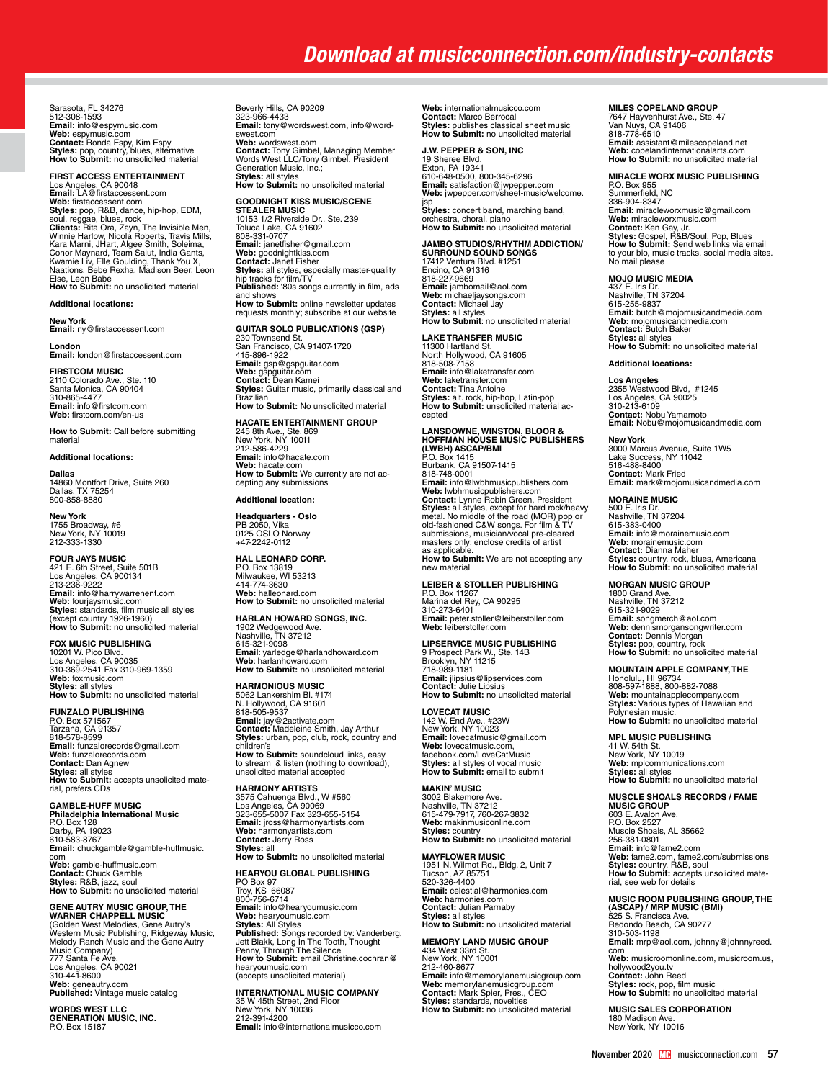# *Download at musicconnection.com/industry-contacts*

Sarasota, FL 34276<br>512-308-1593 512-308-1593<br>**Email:** info@espymusic.com<br>**Web:** espymusic.com<br>**Contact:** Ronda Espy, Kim Espy<br>**Styles:** pop, country, blues, alternative<br>**How to Submit:** no unsolicited material

**FIRST ACCESS ENTERTAINMENT** Los Angeles, CA 90048 **Email:** LA@firstaccessent.com **Web:** firstaccessent.com **Styles:** pop, R&B, dance, hip-hop, EDM,<br>soul, reggae, blues, rock<br>Clients: Rita Ora, Zayn, The Invisible Men,<br>Clients: Rita Ora, Zayn, The Invisible Men,<br>Kara Marni, J.Hart, Algee Smith, Soleima,<br>Kara Marni, J.Hart, Algee Else, Leon Babe **How to Submit:** no unsolicited material

#### **Additional locations:**

**New York Email:** ny@firstaccessent.com

**London Email:** london@firstaccessent.com **FIRSTCOM MUSIC**

2110 Colorado Ave., Ste. 110 Santa Monica, CA 90404 310-865-4477 **Email:** info@firstcom.com **Web:** firstcom.com/en-us

**How to Submit:** Call before submitting material

#### **Additional locations:**

**Dallas** 14860 Montfort Drive, Suite 260 Dallas, TX 75254 800-858-8880

**New York**<br>1755 Broadway, #6<br>New York, NY 10019<br>212-333-1330

**FOUR JAYS MUSIC** 421 E. 6th Street, Suite 501B Los Angeles, CA 900134 213-236-9222 **Email:** info@harrywarrenent.com **Web:** fourjaysmusic.com **Styles:** standards, film music all styles (except country 1926-1960) **How to Submit:** no unsolicited material

## **FOX MUSIC PUBLISHING** 10201 W. Pico Blvd.

Los Angeles, CA 90035 310-369-2541 Fax 310-969-1359 **Web:** foxmusic.com **Styles:** all styles **How to Submit:** no unsolicited material

#### **FUNZALO PUBLISHING**

P.O. Box 571567 Tarzana, CA 91357 818-578-8599 **Email:** funzalorecords@gmail.com **Web:** funzalorecords.com **Contact:** Dan Agnew **Styles:** all styles **How to Submit:** accepts unsolicited material, prefers CDs

**GAMBLE-HUFF MUSIC<br><b>Philadelphia International Music**<br>P.O. Box 128<br>Darby, PA 19023<br>610-583-8767 **Email:** chuckgamble@gamble-huffmusic. com **Web:** gamble-huffmusic.com **Contact:** Chuck Gamble **Styles:** R&B, jazz, soul **How to Submit:** no unsolicited material

#### **GENE AUTRY MUSIC GROUP, THE**

**WARNER CHAPPELL MUSIC** (Golden West Melodies, Gene Autry's Western Music Publishing, Ridgeway Music, Melody Ranch Music and the Gene Autry Music Company) 777 Santa Fe Ave. Los Angeles, CA 90021 310-441-8600 **Web:** geneautry.com **Published:** Vintage music catalog

**WORDS WEST LLC GENERATION MUSIC, INC.**  P.O. Box 15187

Beverly Hills, CA 90209 323-966-4433 **Email:** tony@wordswest.com, info@wordswest.com<sup>2</sup><br>Web: wordswest.com **Web:** wordswest.com<br>**Contact:** Tony Gimbel, Managing Member<br>Words West LLC/Tony Gimbel, President<br>Generation Music, Inc.; **Styles:** all styles **How to Submit:** no unsolicited material

**GOODNIGHT KISS MUSIC/SCENE** 

**STEALER MUSIC**<br>10153 1/2 Riverside Dr., Ste. 239<br>Toluca Lake, CA 91602<br>808-331-0707 **Email:** janetfisher@gmail.com **Web:** goodnightkiss.com<br>**Contact:** Janet Fisher<br>**Styles:** all styles, especially master-quality<br>hip tracks for film/TV **Published:** '80s songs currently in film, ads and shows **How to Submit:** online newsletter updates requests monthly; subscribe at our website

#### **GUITAR SOLO PUBLICATIONS (GSP)**

230 Townsend St. San Francisco, CA 91407-1720 415-896-1922 **Email:** gsp@gspguitar.com **Web:** gspguitar.com **Contact:** Dean Kamei **Styles:** Guitar music, primarily classical and **Brazilian How to Submit:** No unsolicited material

#### **HACATE ENTERTAINMENT GROUP**

245 8th Ave., Ste. 869 New York, NY 10011 212-586-4229 **Email:** info@hacate.com **Web:** hacate.com **How to Submit:** We currently are not ac-cepting any submissions

#### **Additional location:**

**Headquarters - Oslo** PB 2050, Vika 0125 OSLO Norway +47-2242-0112

**HAL LEONARD CORP.** P.O. Box 13819 Milwaukee, WI 53213 414-774-3630 **Web:** halleonard.com **How to Submit:** no unsolicited material

**HARLAN HOWARD SONGS, INC.** 1902 Wedgewood Ave. Nashville, TN 37212 615-321-9098

**Email**: yarledge@harlandhoward.com **Web**: harlanhoward.com **How to Submit:** no unsolicited material

**HARMONIOUS MUSIC** 5062 Lankershim Bl. #174 N. Hollywood, CA 91601 818-505-9537 **Email:** jay@2activate.com<br>**Contact:** Madeleine Smith, Jay Arthur<br>**Styles:** urban, pop, club, rock, country and<br>children's **How to Submit:** soundcloud links, easy<br>to stream & listen (nothing to download),<br>unsolicited material accepted

**HARMONY ARTISTS** 3575 Cahuenga Blvd., W #560 Los Angeles, CA 90069 323-655-5007 Fax 323-655-5154 **Email:** jross@harmonyartists.com **Web:** harmonyartists.com **Contact:** Jerry Ross **Styles:** all

### **How to Submit:** no unsolicited material

**HEARYOU GLOBAL PUBLISHING** PO Box 97 Troy, KS 66087 800-756-6714 **Email:** info@hearyoumusic.com **Web:** hearyoumusic.com<br>**Styles:** All Styles<br>**Published:** Songs recorded by: Vanderberg,<br>Jett Blakk, Long In The Tooth, Thought<br>**Penny, Through The** Silence<br>**How to Submit:** email Christine.cochran@ hearyoumusic.com (accepts unsolicited material)

**INTERNATIONAL MUSIC COMPANY<br>35 W 45th Street, 2nd Floor<br>New York, NY 10036<br>212-391-4200 Email:** info@internationalmusicco.com **Web:** internationalmusicco.com **Contact:** Marco Berrocal **Styles:** publishes classical sheet music **How to Submit:** no unsolicited material

#### **J.W. PEPPER & SON, INC**

19 Sheree Blvd. Exton, PA 19341 610-648-0500, 800-345-6296 **Email:** satisfaction@jwpepper.com **Web:** jwpepper.com/sheet-music/welcome. jsp

**Styles:** concert band, marching band, orchestra, choral, piano **How to Submit:** no unsolicited material

**JAMBO STUDIOS/RHYTHM ADDICTION/<br>SURROUND SOUND SONGS<br>17412 Ventura Blvd. #1251<br>Encino, CA 91316** 818-227-9669 **Email:** jambomail@aol.com **Web:** michaeljaysongs.com **Contact:** Michael Jay **Styles:** all styles **How to Submit**: no unsolicited material

# **LAKE TRANSFER MUSIC**

11300 Hartland St. North Hollywood, CA 91605 818-508-7158 **Email:** info@laketransfer.com **Web:** laketransfer.com **Contact:** Tina Antoine **Styles:** alt. rock, hip-hop, Latin-pop **How to Submit:** unsolicited material accepted

**LANSDOWNE, WINSTON, BLOOR & HOFFMAN HOUSE MUSIC PUBLISHERS (LWBH) ASCAP/BMI** P.O. Box 1415 Burbank, CA 91507-1415 818-748-0001<br>**Email:** info@lwbhmusicpublishers.com Web: lwbhmusicpublishers.com<br>Contact: Lynne Robin Green, President<br>Styles: all styles, except for hard rock/heavy<br>metal. No middle of the road (MOR) pop or<br>old-fashioned C&W songs. For film & TV<br>submissions, musician/vocal masters only: enclose credits of artist as applicable. **How to Submit:** We are not accepting any new material

**LEIBER & STOLLER PUBLISHING** P.O. Box 11267 Marina del Rey, CA 90295 310-273-6401 **Email:** peter.stoller@leiberstoller.com **Web:** leiberstoller.com

## **LIPSERVICE MUSIC PUBLISHING** 9 Prospect Park W., Ste. 14B

Brooklyn, NY 11215 718-989-1181 **Email:** jlipsius@lipservices.com **Contact:** Julie Lipsius **How to Submit:** no unsolicited material

**LOVECAT MUSIC<br>142 W. End Ave., #23W<br>New York, NY 10023<br><b>Email:** lovecatmusic@gmail.com<br>**Web:** lovecatmusic.com, facebook.com/LoveCatMusic **Styles:** all styles of vocal music **How to Submit:** email to submit

**MAKIN' MUSIC** 3002 Blakemore Ave. Nashville, TN 37212 615-479-7917, 760-267-3832 **Web:** makinmusiconline.com **Styles:** country **How to Submit:** no unsolicited material

**MAYFLOWER MUSIC**<br>1951 N. Wilmot Rd., Bldg. 2, Unit 7<br>Tucson, AZ 85751 520-326-4400 **Email:** celestial@harmonies.com **Web:** harmonies.com **Contact:** Julian Parnaby

# **Styles:** all styles **How to Submit:** no unsolicited material

**MEMORY LAND MUSIC GROUP**<br>434 West 33rd St.<br>New York, NY 10001 212-460-8677 **Email:** info@memorylanemusicgroup.com **Web:** memorylanemusicgroup.com **Contact:** Mark Spier, Pres., CEO **Styles:** standards, novelties **How to Submit:** no unsolicited material

#### **MILES COPELAND GROUP**

7647 Hayvenhurst Ave., Ste. 47 Van Nuys, CA 91406 818-778-6510 **Email:** assistant@milescopeland.net **Web:** copelandinternationalarts.com **How to Submit:** no unsolicited material

### **MIRACLE WORX MUSIC PUBLISHING**

P.O. Box 955 Summerfield, NC 336-904-8347 **Email:** miracleworxmusic@gmail.com<br>**Web:** miracleworxmusic.com<br>**Contact:** Ken Gay, Jr.<br>**Styles:** Gospel, R&B/Soul, Pop, Blues **How to Submit:** Send web links via email to your bio, music tracks, social media sites. No mail please

#### **MOJO MUSIC MEDIA**

437 E. Iris Dr. Nashville, TN 37204 615-255-9837 **Email:** butch@mojomusicandmedia.com **Web:** mojomusicandmedia.com **Contact:** Butch Baker **Styles:** all styles **How to Submit:** no unsolicited material

**Additional locations:**

**Los Angeles**<br>2355 Westwood Blvd, #1245<br>Los Angeles, CA 90025<br>310-213-6109<br>**Contact:** Nobu Yamamoto **Email:** Nobu@mojomusicandmedia.com

**New York** 3000 Marcus Avenue, Suite 1W5 Lake Success, NY 11042 516-488-8400 **Contact:** Mark Fried **Email:** mark@mojomusicandmedia.com

**MORAINE MUSIC<br>500 E. Iris Dr.<br>Nashville, TN 37204<br>615-383-0400<br><b>Email:** info@morainemusic.com **Web:** morainemusic.com **Contact:** Dianna Maher **Styles:** country, rock, blues, Americana **How to Submit:** no unsolicited material

#### **MORGAN MUSIC GROUP**

1800 Grand Ave. Nashville, TN 37212 615-321-9029 **Email:** songmerch@aol.com **Web:** dennísmorgansongwriter.com<br>**Contact:** Dennis Morgan<br>**Styles:** pop, country, rock<br>**How to Submit:** no unsolicited material

#### **MOUNTAIN APPLE COMPANY, THE**

Honolulu, HI 96734 808-597-1888, 800-882-7088<br>**Web:** mountainapplecompany.com<br>**Styles:** Various types of Hawaiian and<br>Polynesian music. **How to Submit:** no unsolicited material

**MPL MUSIC PUBLISHING** 41 W. 54th St. New York, NY 10019 **Web:** mplcommunications.com **Styles:** all styles **How to Submit:** no unsolicited material

**MUSCLE SHOALS RECORDS / FAME<br><b>MUSIC GROUP**<br>603 E. Avalon Ave.<br>P.O. Box 2527<br>Muscle Shoals, AL 35662<br>256-381-0801 **Email:** info@fame2.com<br>**Web:** fame2.com, fame2.com/submissions<br>**Styles:** country, R&B, soul<br>**How to Submit:** accepts unsolicited mate-<br>rial, see web for details

# **MUSIC ROOM PUBLISHING GROUP, THE (ASCAP) / MRP MUSIC (BMI)** 525 S. Francisca Ave.

Redondo Beach, CA 90277 310-503-1198 **Email:** mrp@aol.com, johnny@johnnyreed. com **Web:** musicroomonline.com, musicroom.us, hollywood2you.tv **Contact:** John Reed **Styles:** rock, pop, film music **How to Submit:** no unsolicited material

## **MUSIC SALES CORPORATION**

180 Madison Ave. New York, NY 10016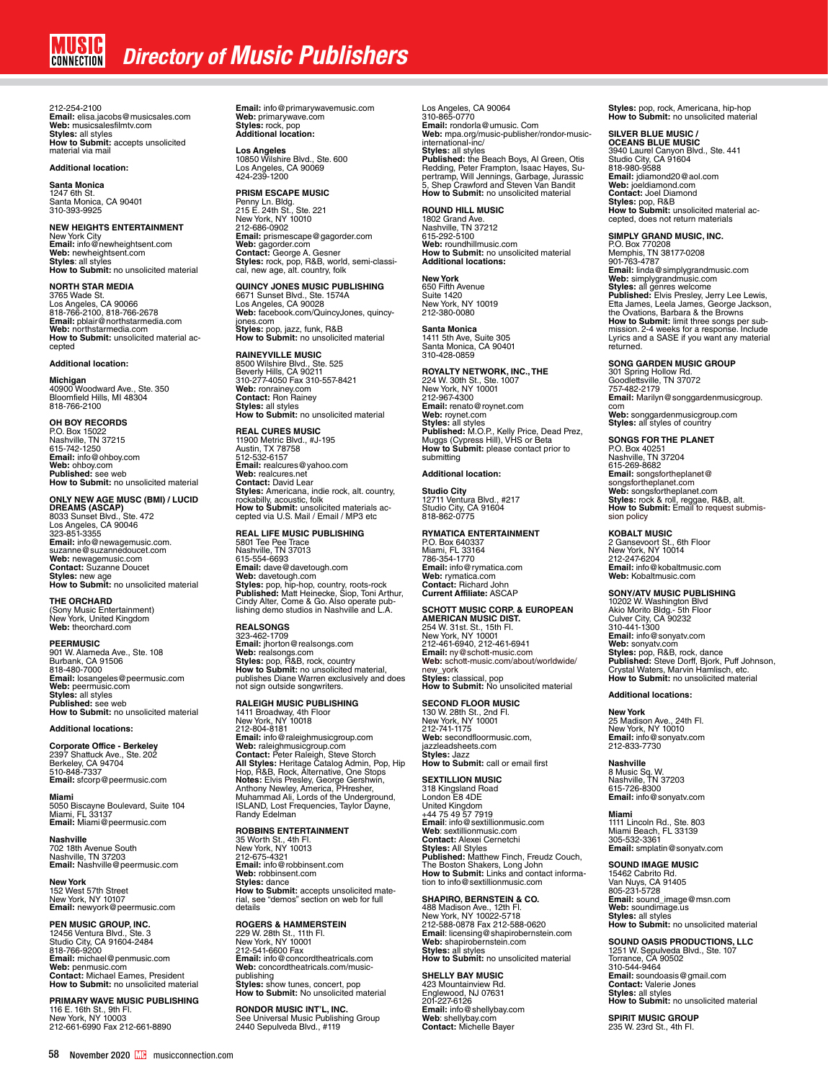212-254-2100 **Email:** elisa.jacobs@musicsales.com<br>**Web:** musicsalesfilmtv.com<br>**Styles:** all styles<br>**How to Submit:** accepts unsolicited material via mail

**Additional location:**

**Santa Monica** 1247 6th St. Santa Monica, CA 90401 310-393-9925

**NEW HEIGHTS ENTERTAINMENT** New York City **Email:** info@newheightsent.com **Web:** newheightsent.com **Styles**: all styles **How to Submit:** no unsolicited material

**NORTH STAR MEDIA**<br>3765 Wade St.<br>Los Angeles, CA 90066<br>818-766-2100, 818-766-2678<br>**Email:** pblair@northstarmedia.com **Web:** northstarmedia.com **How to Submit:** unsolicited material accepted

#### **Additional location:**

**Michigan**<br>40900 Woodward Ave., Ste. 350<br>Bloomfield Hills, MI 48304 818-766-2100

**OH BOY RECORDS**<br>P.O. Box 15022<br>Nashville, TN 37215<br>615-742-1250 **Email:** info@ohboy.com **Web:** ohboy.com **Published:** see web **How to Submit:** no unsolicited material

**ONLY NEW AGE MUSC (BMI) / LUCID<br><b>DREAMS (ASCAP)**<br>**8033 Sunset Blvd., Ste. 472<br>Los Angeles, CA 90046<br>123-851-3355 Email:** info@newagemusic.com. suzanne@suzannedoucet.com **Web:** newagemusic.com **Contact:** Suzanne Doucet **Styles:** new age **How to Submit:** no unsolicited material

**THE ORCHARD**

(Sony Music Entertainment) New York, United Kingdom **Web:** theorchard.com

**PEERMUSIC** 901 W. Alameda Ave., Ste. 108 Burbank, CA 91506 818-480-7000 **Email:** losangeles@peermusic.com **Web:** peermusic.com **Styles:** all styles **Published:** see web **How to Submit:** no unsolicited material

#### **Additional locations:**

**Corporate Office - Berkeley** 2397 Shattuck Ave., Ste. 202 Berkeley, CA 94704 510-848-7337 **Email:** sfcorp@peermusic.com

**Miami** 5050 Biscayne Boulevard, Suite 104 Miami, FL 33137 **Email:** Miami@peermusic.com

**Nashville** 702 18th Avenue South Nashville, TN 37203 **Email:** Nashville@peermusic.com

**New York**<br>152 West 57th Street<br>New York, NY 10107<br>**Email:** newyork@peermusic.com

# **PEN MUSIC GROUP, INC.** 12456 Ventura Blvd., Ste. 3

Studio City, CA 91604-2484 818-766-9200 **Email:** michael@penmusic.com **Web:** penmusic.com **Contact:** Michael Eames, President **How to Submit:** no unsolicited material

**PRIMARY WAVE MUSIC PUBLISHING** 116 E. 16th St., 9th Fl. New York, NY 10003 212-661-6990 Fax 212-661-8890

**Email:** info@primarywavemusic.com **Web:** primarywave.com **Styles:** rock, pop **Additional location:**

**Los Angeles**<br>10850 Wilshire Blvd., Ste. 600<br>Los Angeles, CA 90069<br>424-239-1200

**PRISM ESCAPE MUSIC**<br>Penny Ln. Bldg.<br>215 E. 24th St., Ste. 221<br>New York, NY 10010<br>212-686-0902 **Email:** prismescape@gagorder.com **Web:** gagorder.com<br>**Contact:** George A. Gesner<br>**Styles:** rock, pop, R&B, world, semi-classi-<br>cal, new age, alt. country, folk

**QUINCY JONES MUSIC PUBLISHING<br>6671 Sunset Blvd., Ste. 1574A<br>Los Angeles, CA 90028<br><b>Web:** facebook.com/QuincyJones, quincyjones.com **Styles:** pop, jazz, funk, R&B **How to Submit:** no unsolicited material

**RAINEYVILLE MUSIC<br>8500 Wilshire Blvd., Ste. 525<br>Beverly Hills, CA 90211<br>310-277-4050 Fax 310-557-8421<br><b>Web:** ronrainey.com<br>**Contact:** Ron Rainey **Styles:** all styles **How to Submit:** no unsolicited material

#### **REAL CURES MUSIC**

11900 Metric Blvd., #J-195 Austin, TX 78758 512-532-6157 **Email:** realcures@yahoo.com **Web:** realcures.net **Contact:** David Lear **Styles:** Americana, indie rock, alt. country, rockabilly, acoustic, folk **How to Submit:** unsolicited materials ac-cepted via U.S. Mail / Email / MP3 etc

### **REAL LIFE MUSIC PUBLISHING**

5801 Tee Pee Trace Nashville, TN 37013 615-554-6693 Email: dave@davetough.com<br>Web: davetough.com<br>Styles: pop, hip-hop, country, roots-rock<br>Published: Matt Heinecke, Siop, Toni Arthur,<br>Cindy Alter, Come & Go. Also operate pub-<br>lishing demo studios in Nashville and L.A.

### **REALSONGS**

323-462-1709<br>**Email:** jhorton@realsongs.com<br>**Styles:** pop, R&B, rock, country<br>**How to Submit:** no unsolicited material,<br>publishes Diane Warren exclusively and does not sign outside songwriters.

### **RALEIGH MUSIC PUBLISHING**

1411 Broadway, 4th Floor New York, NY 10018 212-804-8181<br>**Email:** info@raleighmusicgroup.com<br>**Web:** raleighmusicgroup.com<br>**Web:** raleighmusicgroup.com<br>**All Styles:** Heritage Catalog Admin, Pop, Hip<br>**HOP, R&B, Rock, Alternative, One Stops<br><b>Notes:** Elvis Presley, Geor

**ROBBINS ENTERTAINMENT<br>35 Worth St., 4th Fl.<br>New York, NY 10013<br>212-675-4321<br><b>Email:** info@robbinsent.com **Web:** robbinsent.com **Styles:** dance **How to Submit:** accepts unsolicited material, see "demos" section on web for full details

## **ROGERS & HAMMERSTEIN** 229 W. 28th St., 11th Fl. New York, NY 10001 212-541-6600 Fax **Email:** info@concordtheatricals.com **Web:** concordtheatricals.com/musicpublishing **Styles:** show tunes, concert, pop **How to Submit:** No unsolicited material

**RONDOR MUSIC INT'L, INC.**<br>See Universal Music Publishing Group<br>2440 Sepulveda Blvd., #119

Los Angeles, CA 90064 310-865-0770<br>**Emai**l: rondorla@umusic. Com<br>**Web:** mpa.org/music-publisher/rondor-music-<br>international-inc/ **Styles:** all styles<br>**Published:** the Beach Boys, Al Green, Otis<br>Redding, Peter Frampton, Isaac Hayes, Su-<br>pertramp, Will Jennings, Garbage, Jurassic<br>5, Shep Crawford and Steven Van Bandit **How to Submit:** no unsolicited material

### **ROUND HILL MUSIC**

1802 Grand Ave. Nashville, TN 37212 615-292-5100 **Web:** roundhillmusic.com **How to Submit:** no unsolicited material **Additional locations:**

### **New York**  650 Fifth Avenue<br>Suite 1420 Suite 1420 New York, NY 10019 212-380-0080

**Santa Monica**<br>1411 5th Ave, Suite 305<br>Santa Monica, CA 90401<br>310-428-0859

# **ROYALTY NETWORK, INC., THE** 224 W. 30th St., Ste. 1007 New York, NY 10001 212-967-4300 **Email:** renato@roynet.com **Web:** roynet.com

**Styles:** all styles<br>**Published:** M.O.P., Kelly Price, Dead Prez,<br>Muggs (Cypress Hill), VHS or Beta<br>**How to Submit:** please contact prior to<br>submitting **Additional location:**

### **Studio City**

12711 Ventura Blvd., #217 Studio City, CA 91604 818-862-0775

### **RYMATICA ENTERTAINMENT**

P.O. Box 640337 Miami, FL 33164 786-354-1770 **Email:** info@rymatica.com **Web:** rymatica.com **Contact:** Richard John **Current Affiliate:** ASCAP

S**CHOTT MUSIC CORP. & EUROPEAN<br><b>AMERICAN MUSIC DIST.**<br>254 W. 31st. St., 15th Fl.<br>New York, NY 10001<br>212-461-6940, 212-461-6941<br>**Email:** ny@schott-music.com **Web:** schott-music.com/about/worldwide/ new\_york **Styles:** classical, pop **How to Submit:** No unsolicited material

#### **SECOND FLOOR MUSIC**

130 W. 28th St., 2nd Fl. New York, NY 10001 212-741-1175 **Web:** secondfloormusic.com, jazzleadsheets.com **Styles:** Jazz **How to Submit:** call or email first

#### **SEXTILLION MUSIC**

318 Kingsland Road London E8 4DE United Kingdom +44 75 49 57 7919 **Email**: info@sextillionmusic.com **Web**: sextillionmusic.com **Contact:** Alexei Cernetchi **Styles:** All Styles<br>**Published:** Matthew Finch, Freudz Couch,<br>The Boston Shakers, Long John<br>**How to Submit:** Links and contact information to info@sextillionmusic.com

**SHAPIRO, BERNSTEIN & CO.**<br>488 Madison Ave., 12th Fl.<br>New York, NY 10022-5718<br>212-588-0878 Fax 212-588-0620<br>213-588-0878 Fax 212-588-0620<br>**Email**: licensing@shapirobernstein.com **Web:** shapirobernstein.com<br>**Styles:** all styles<br>**How to Submit:** no unsolicited material

### **SHELLY BAY MUSIC** 423 Mountainview Rd. Englewood, NJ 07631 201-227-6126 **Email:** info@shellybay.com **Web**: shellybay.com **Contact:** Michelle Bayer

**Styles:** pop, rock, Americana, hip-hop **How to Submit:** no unsolicited material

# **SILVER BLUE MUSIC /**

**OCEANS BLUE MUSIC**<br>3940 Laurel Canyon Blvd., Ste. 441<br>Studio City, CA 91604<br>818-980-9588 **Email:** jdiamond20@aol.com **Web:** joeldiamond.com **Contact:** Joel Diamond **Styles:** pop, R&B **How to Submit:** unsolicited material accepted, does not return materials

#### **SIMPLY GRAND MUSIC, INC.**

P.O. Box 770208 Memphis, TN 38177-0208 901-763-4787 **Email:** linda@simplygrandmusic.com **Web:** simplygrandmusic.com<br>**Styles:** all genres welcome<br>**Published:** Elvis Presley, Jerry Lee Lewis, Etta James, Leela James, George Jackson,<br>the Ovations, Barbara & the Browns<br>**How to Submit:** limit three songs per sub-<br>mission. 2-4 weeks for a response. Include Lyrics and a SASE if you want any material returned.

#### **SONG GARDEN MUSIC GROUP**

301 Spring Hollow Rd.<br>Goodlettsville, TN 37072<br>757-482-2179<br>**Email:** Marilyn@songgardenmusicgroup. com **Web:** songgardenmusicgroup.com **Styles:** all styles of country

#### **SONGS FOR THE PLANET**

P.O. Box 40251 Nashville, TN 37204 615-269-8682 **Email:** songsfortheplanet@ songsfortheplanet.com **Web:** songsfortheplanet.com **Styles:** rock & roll, reggae, R&B, alt. **How to Submit:** Email to request submission policy

**KOBALT MUSIC** 2 Gansevoort St., 6th Floor New York, NY 10014 212-247-6204 **Email:** info@kobaltmusic.com **Web:** Kobaltmusic.com

**SONY/ATV MUSIC PUBLISHING**<br>10202 W. Washington Blvd<br>Akio Morito Bldg.- 5th Floor<br>Culver City, CA 90232<br>310-441-1300 **Email:** info@sonyatv.com **Web:** sonyatv.com **Styles:** pop, R&B, rock, dance **Published:** Steve Dorff, Bjork, Puff Johnson, Crystal Waters, Marvin Hamlisch, etc. **How to Submit:** no unsolicited material

### **Additional locations:**

**New York**  25 Madison Ave., 24th Fl. New York, NY 10010 **Email:** info@sonyatv.com 212-833-7730

### **Nashville** 8 Music Sq. W. Nashville, TN 37203 615-726-8300 **Email:** info@sonyatv.com

**Miami** 1111 Lincoln Rd., Ste. 803 Miami Beach, FL 33139 305-532-3361 **Email:** smplatin@sonyatv.com

#### **SOUND IMAGE MUSIC**

15462 Cabrito Rd. Van Nuys, CA 91405 805-231-5728 **Email:** sound\_image@msn.com **Web:** soundimage.us **Styles:** all styles **How to Submit:** no unsolicited material

**SOUND OASIS PRODUCTIONS, LLC<br>1251 W. Sepulveda Blvd., Ste. 107<br>Torrance, CA 90502<br>310-544-9464 Email:** soundoasis@gmail.com **Contact:** Valerie Jones **Styles:** all styles **How to Submit:** no unsolicited material

**SPIRIT MUSIC GROUP** 235 W. 23rd St., 4th Fl.